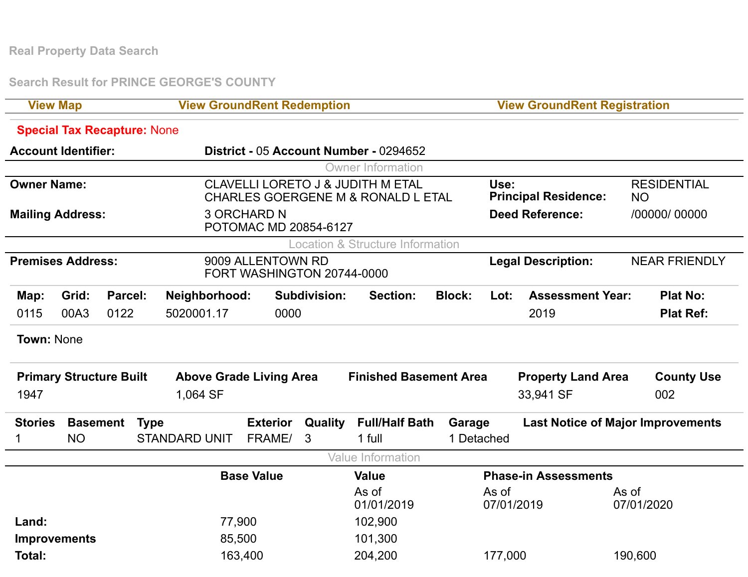**Real Property Data Search**

**Search Result for PRINCE GEORGE'S COUNTY**

| <b>View Map</b>                |                                   |         |                                    | <b>View GroundRent Redemption</b>                                                             |                     |                                             |                                 |                                          | <b>View GroundRent Registration</b> |                                 |  |  |
|--------------------------------|-----------------------------------|---------|------------------------------------|-----------------------------------------------------------------------------------------------|---------------------|---------------------------------------------|---------------------------------|------------------------------------------|-------------------------------------|---------------------------------|--|--|
|                                |                                   |         | <b>Special Tax Recapture: None</b> |                                                                                               |                     |                                             |                                 |                                          |                                     |                                 |  |  |
|                                | <b>Account Identifier:</b>        |         |                                    | District - 05 Account Number - 0294652                                                        |                     |                                             |                                 |                                          |                                     |                                 |  |  |
|                                |                                   |         |                                    |                                                                                               |                     | <b>Owner Information</b>                    |                                 |                                          |                                     |                                 |  |  |
| <b>Owner Name:</b>             |                                   |         |                                    | <b>CLAVELLI LORETO J &amp; JUDITH M ETAL</b><br><b>CHARLES GOERGENE M &amp; RONALD L ETAL</b> |                     |                                             |                                 |                                          | <b>Principal Residence:</b>         | <b>RESIDENTIAL</b><br><b>NO</b> |  |  |
|                                | <b>Mailing Address:</b>           |         |                                    | <b>3 ORCHARD N</b><br>POTOMAC MD 20854-6127                                                   |                     |                                             |                                 |                                          | <b>Deed Reference:</b>              | /00000/ 00000                   |  |  |
|                                |                                   |         |                                    |                                                                                               |                     | <b>Location &amp; Structure Information</b> |                                 |                                          |                                     |                                 |  |  |
|                                | <b>Premises Address:</b>          |         |                                    | 9009 ALLENTOWN RD<br>FORT WASHINGTON 20744-0000                                               |                     | <b>Legal Description:</b>                   |                                 |                                          | <b>NEAR FRIENDLY</b>                |                                 |  |  |
| Map:                           | Grid:                             | Parcel: | Neighborhood:                      |                                                                                               | <b>Subdivision:</b> | <b>Section:</b>                             | <b>Block:</b>                   | Lot:                                     | <b>Assessment Year:</b>             | <b>Plat No:</b>                 |  |  |
| 0115                           | 00A3<br>0122                      |         | 5020001.17                         | 0000                                                                                          |                     |                                             | 2019                            |                                          |                                     | <b>Plat Ref:</b>                |  |  |
| <b>Town: None</b>              |                                   |         |                                    |                                                                                               |                     |                                             |                                 |                                          |                                     |                                 |  |  |
| <b>Primary Structure Built</b> |                                   |         |                                    | <b>Above Grade Living Area</b>                                                                |                     |                                             | <b>Finished Basement Area</b>   |                                          | <b>Property Land Area</b>           | <b>County Use</b>               |  |  |
| 1947                           |                                   |         | 1,064 SF                           |                                                                                               |                     |                                             |                                 | 33,941 SF                                |                                     | 002                             |  |  |
|                                | <b>Stories</b><br><b>Basement</b> |         | <b>Type</b>                        | <b>Exterior</b><br>Quality                                                                    |                     |                                             | <b>Full/Half Bath</b><br>Garage | <b>Last Notice of Major Improvements</b> |                                     |                                 |  |  |
|                                | <b>NO</b>                         |         | <b>STANDARD UNIT</b>               | FRAME/                                                                                        | 3                   | 1 full                                      | 1 Detached                      |                                          |                                     |                                 |  |  |
|                                |                                   |         |                                    |                                                                                               |                     | <b>Value Information</b>                    |                                 |                                          |                                     |                                 |  |  |
|                                |                                   |         |                                    | <b>Base Value</b>                                                                             |                     |                                             | <b>Phase-in Assessments</b>     |                                          |                                     |                                 |  |  |
|                                |                                   |         |                                    |                                                                                               |                     | As of<br>01/01/2019                         |                                 | As of<br>07/01/2019                      | As of                               | 07/01/2020                      |  |  |
| Land:                          |                                   |         |                                    | 77,900                                                                                        |                     |                                             |                                 |                                          |                                     |                                 |  |  |
| <b>Improvements</b>            |                                   |         |                                    | 85,500                                                                                        |                     |                                             |                                 |                                          |                                     |                                 |  |  |
| Total:                         |                                   |         |                                    | 163,400                                                                                       |                     |                                             |                                 | 177,000                                  |                                     | 190,600                         |  |  |